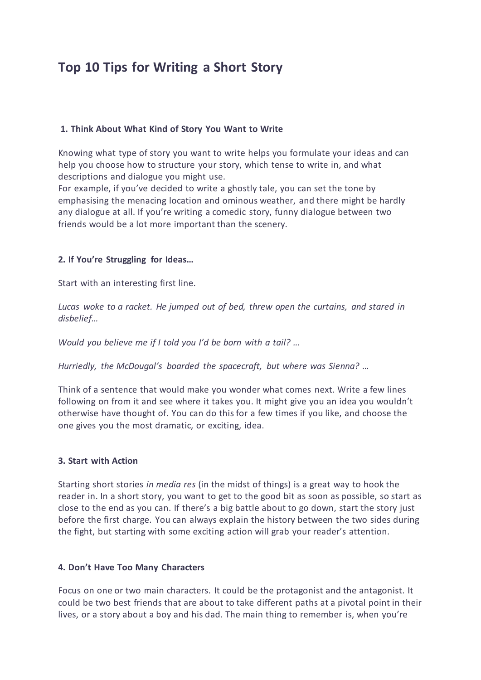# **Top 10 Tips for Writing a Short Story**

#### **1. Think About What Kind of Story You Want to Write**

Knowing what type of story you want to write helps you formulate your ideas and can help you choose how to structure your story, which tense to write in, and what descriptions and dialogue you might use.

For example, if you've decided to write a ghostly tale, you can set the tone by emphasising the menacing location and ominous weather, and there might be hardly any dialogue at all. If you're writing a comedic story, funny dialogue between two friends would be a lot more important than the scenery.

#### **2. If You're Struggling for Ideas…**

Start with an interesting first line.

*Lucas woke to a racket. He jumped out of bed, threw open the curtains, and stared in disbelief…* 

*Would you believe me if I told you I'd be born with a tail? …*

*Hurriedly, the McDougal's boarded the spacecraft, but where was Sienna? …*

Think of a sentence that would make you wonder what comes next. Write a few lines following on from it and see where it takes you. It might give you an idea you wouldn't otherwise have thought of. You can do this for a few times if you like, and choose the one gives you the most dramatic, or exciting, idea.

#### **3. Start with Action**

Starting short stories *in media res* (in the midst of things) is a great way to hook the reader in. In a short story, you want to get to the good bit as soon as possible, so start as close to the end as you can. If there's a big battle about to go down, start the story just before the first charge. You can always explain the history between the two sides during the fight, but starting with some exciting action will grab your reader's attention.

#### **4. Don't Have Too Many Characters**

Focus on one or two main characters. It could be the protagonist and the antagonist. It could be two best friends that are about to take different paths at a pivotal point in their lives, or a story about a boy and his dad. The main thing to remember is, when you're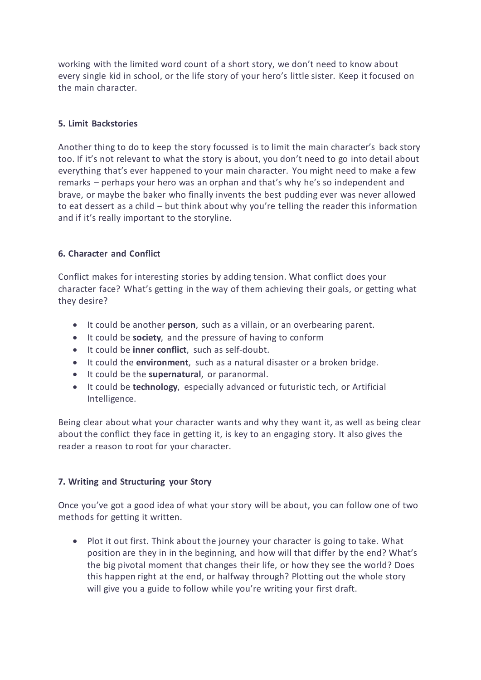working with the limited word count of a short story, we don't need to know about every single kid in school, or the life story of your hero's little sister. Keep it focused on the main character.

#### **5. Limit Backstories**

Another thing to do to keep the story focussed is to limit the main character's back story too. If it's not relevant to what the story is about, you don't need to go into detail about everything that's ever happened to your main character. You might need to make a few remarks – perhaps your hero was an orphan and that's why he's so independent and brave, or maybe the baker who finally invents the best pudding ever was never allowed to eat dessert as a child – but think about why you're telling the reader this information and if it's really important to the storyline.

## **6. Character and Conflict**

Conflict makes for interesting stories by adding tension. What conflict does your character face? What's getting in the way of them achieving their goals, or getting what they desire?

- It could be another **person**, such as a villain, or an overbearing parent.
- It could be **society**, and the pressure of having to conform
- It could be **inner conflict**, such as self-doubt.
- It could the **environment**, such as a natural disaster or a broken bridge.
- It could be the **supernatural**, or paranormal.
- It could be **technology**, especially advanced or futuristic tech, or Artificial Intelligence.

Being clear about what your character wants and why they want it, as well as being clear about the conflict they face in getting it, is key to an engaging story. It also gives the reader a reason to root for your character.

#### **7. Writing and Structuring your Story**

Once you've got a good idea of what your story will be about, you can follow one of two methods for getting it written.

• Plot it out first. Think about the journey your character is going to take. What position are they in in the beginning, and how will that differ by the end? What's the big pivotal moment that changes their life, or how they see the world? Does this happen right at the end, or halfway through? Plotting out the whole story will give you a guide to follow while you're writing your first draft.